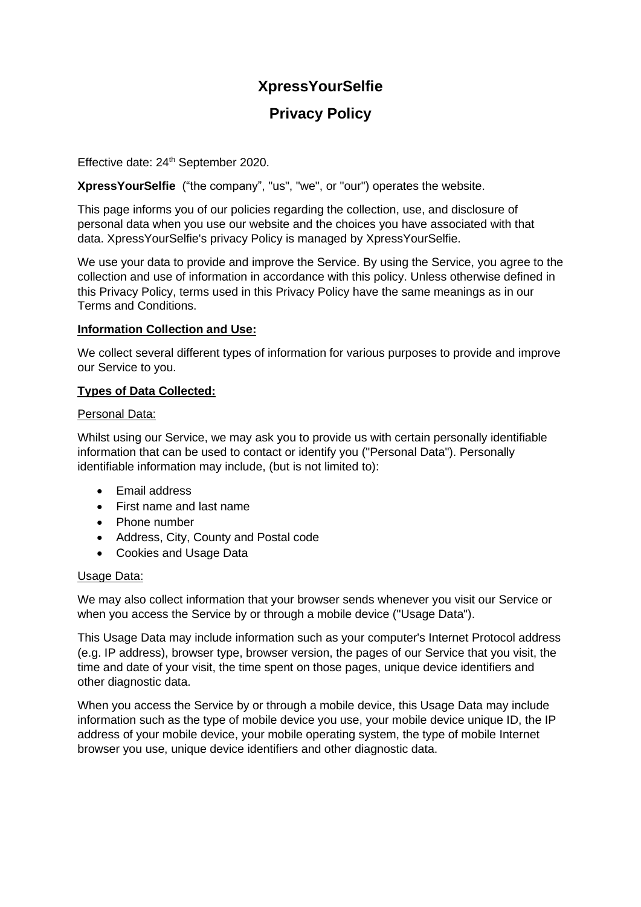# **XpressYourSelfie**

# **Privacy Policy**

Effective date: 24<sup>th</sup> September 2020.

**XpressYourSelfie** ("the company", "us", "we", or "our") operates the website.

This page informs you of our policies regarding the collection, use, and disclosure of personal data when you use our website and the choices you have associated with that data. XpressYourSelfie's privacy Policy is managed by XpressYourSelfie.

We use your data to provide and improve the Service. By using the Service, you agree to the collection and use of information in accordance with this policy. Unless otherwise defined in this Privacy Policy, terms used in this Privacy Policy have the same meanings as in our Terms and Conditions.

# **Information Collection and Use:**

We collect several different types of information for various purposes to provide and improve our Service to you.

# **Types of Data Collected:**

#### Personal Data:

Whilst using our Service, we may ask you to provide us with certain personally identifiable information that can be used to contact or identify you ("Personal Data"). Personally identifiable information may include, (but is not limited to):

- Email address
- First name and last name
- Phone number
- Address, City, County and Postal code
- Cookies and Usage Data

#### Usage Data:

We may also collect information that your browser sends whenever you visit our Service or when you access the Service by or through a mobile device ("Usage Data").

This Usage Data may include information such as your computer's Internet Protocol address (e.g. IP address), browser type, browser version, the pages of our Service that you visit, the time and date of your visit, the time spent on those pages, unique device identifiers and other diagnostic data.

When you access the Service by or through a mobile device, this Usage Data may include information such as the type of mobile device you use, your mobile device unique ID, the IP address of your mobile device, your mobile operating system, the type of mobile Internet browser you use, unique device identifiers and other diagnostic data.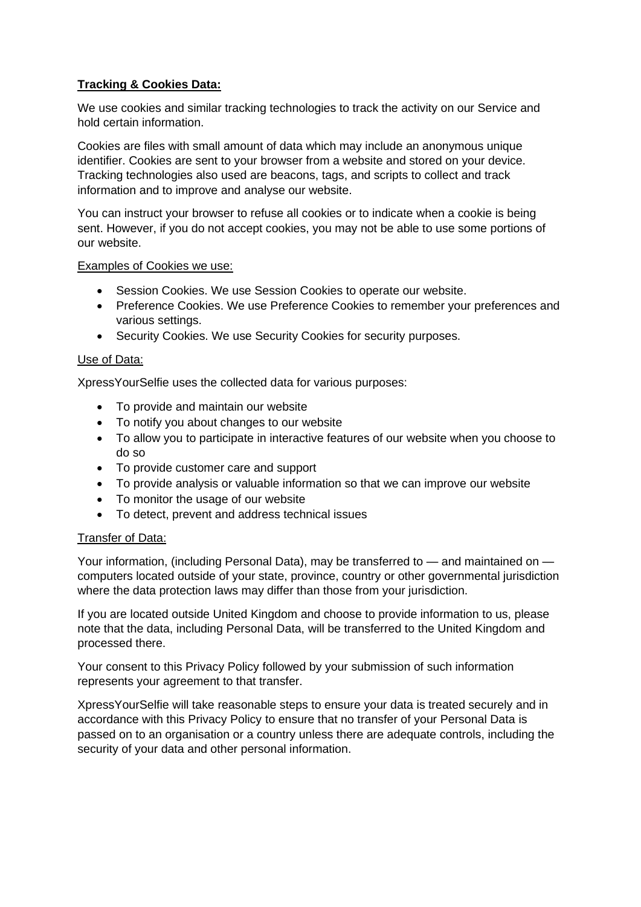# **Tracking & Cookies Data:**

We use cookies and similar tracking technologies to track the activity on our Service and hold certain information.

Cookies are files with small amount of data which may include an anonymous unique identifier. Cookies are sent to your browser from a website and stored on your device. Tracking technologies also used are beacons, tags, and scripts to collect and track information and to improve and analyse our website.

You can instruct your browser to refuse all cookies or to indicate when a cookie is being sent. However, if you do not accept cookies, you may not be able to use some portions of our website.

#### Examples of Cookies we use:

- Session Cookies. We use Session Cookies to operate our website.
- Preference Cookies. We use Preference Cookies to remember your preferences and various settings.
- Security Cookies. We use Security Cookies for security purposes.

#### Use of Data:

XpressYourSelfie uses the collected data for various purposes:

- To provide and maintain our website
- To notify you about changes to our website
- To allow you to participate in interactive features of our website when you choose to do so
- To provide customer care and support
- To provide analysis or valuable information so that we can improve our website
- To monitor the usage of our website
- To detect, prevent and address technical issues

#### Transfer of Data:

Your information, (including Personal Data), may be transferred to — and maintained on computers located outside of your state, province, country or other governmental jurisdiction where the data protection laws may differ than those from your jurisdiction.

If you are located outside United Kingdom and choose to provide information to us, please note that the data, including Personal Data, will be transferred to the United Kingdom and processed there.

Your consent to this Privacy Policy followed by your submission of such information represents your agreement to that transfer.

XpressYourSelfie will take reasonable steps to ensure your data is treated securely and in accordance with this Privacy Policy to ensure that no transfer of your Personal Data is passed on to an organisation or a country unless there are adequate controls, including the security of your data and other personal information.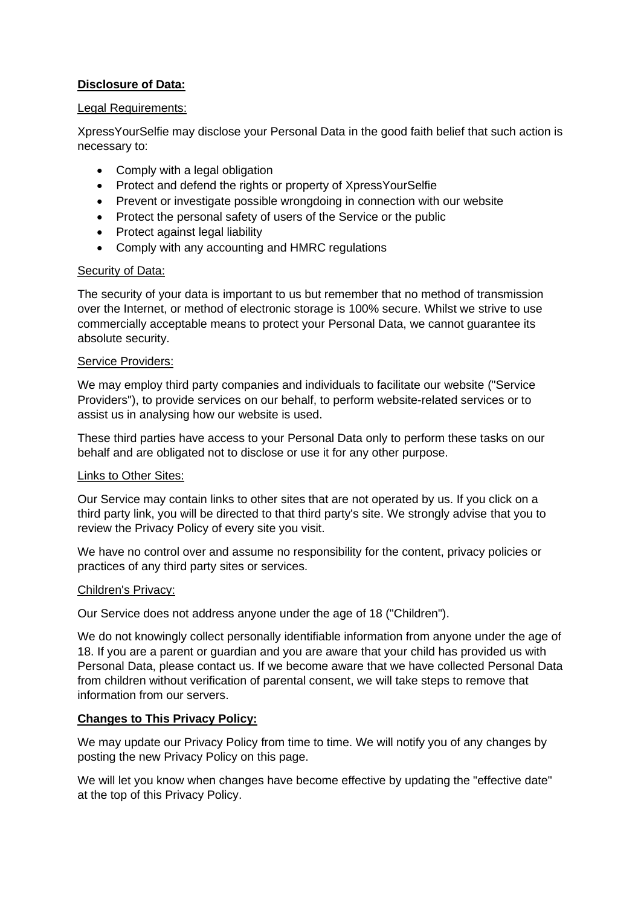# **Disclosure of Data:**

#### Legal Requirements:

XpressYourSelfie may disclose your Personal Data in the good faith belief that such action is necessary to:

- Comply with a legal obligation
- Protect and defend the rights or property of XpressYourSelfie
- Prevent or investigate possible wrongdoing in connection with our website
- Protect the personal safety of users of the Service or the public
- Protect against legal liability
- Comply with any accounting and HMRC regulations

#### Security of Data:

The security of your data is important to us but remember that no method of transmission over the Internet, or method of electronic storage is 100% secure. Whilst we strive to use commercially acceptable means to protect your Personal Data, we cannot guarantee its absolute security.

#### Service Providers:

We may employ third party companies and individuals to facilitate our website ("Service Providers"), to provide services on our behalf, to perform website-related services or to assist us in analysing how our website is used.

These third parties have access to your Personal Data only to perform these tasks on our behalf and are obligated not to disclose or use it for any other purpose.

#### Links to Other Sites:

Our Service may contain links to other sites that are not operated by us. If you click on a third party link, you will be directed to that third party's site. We strongly advise that you to review the Privacy Policy of every site you visit.

We have no control over and assume no responsibility for the content, privacy policies or practices of any third party sites or services.

#### Children's Privacy:

Our Service does not address anyone under the age of 18 ("Children").

We do not knowingly collect personally identifiable information from anyone under the age of 18. If you are a parent or guardian and you are aware that your child has provided us with Personal Data, please contact us. If we become aware that we have collected Personal Data from children without verification of parental consent, we will take steps to remove that information from our servers.

#### **Changes to This Privacy Policy:**

We may update our Privacy Policy from time to time. We will notify you of any changes by posting the new Privacy Policy on this page.

We will let you know when changes have become effective by updating the "effective date" at the top of this Privacy Policy.